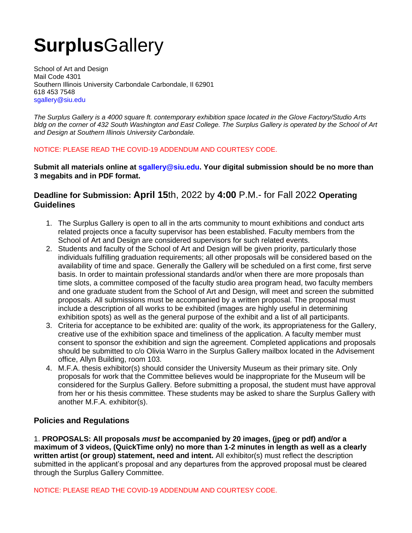# **Surplus**Gallery

School of Art and Design Mail Code 4301 Southern Illinois University Carbondale Carbondale, Il 62901 618 453 7548 sgallery@siu.edu

*The Surplus Gallery is a 4000 square ft. contemporary exhibition space located in the Glove Factory/Studio Arts bldg on the corner of 432 South Washington and East College. The Surplus Gallery is operated by the School of Art and Design at Southern Illinois University Carbondale.* 

### NOTICE: PLEASE READ THE COVID-19 ADDENDUM AND COURTESY CODE.

**Submit all materials online at sgallery@siu.edu. Your digital submission should be no more than 3 megabits and in PDF format.** 

# **Deadline for Submission: April 15**th, 2022 by **4:00** P.M.- for Fall 2022 **Operating Guidelines**

- 1. The Surplus Gallery is open to all in the arts community to mount exhibitions and conduct arts related projects once a faculty supervisor has been established. Faculty members from the School of Art and Design are considered supervisors for such related events.
- 2. Students and faculty of the School of Art and Design will be given priority, particularly those individuals fulfilling graduation requirements; all other proposals will be considered based on the availability of time and space. Generally the Gallery will be scheduled on a first come, first serve basis. In order to maintain professional standards and/or when there are more proposals than time slots, a committee composed of the faculty studio area program head, two faculty members and one graduate student from the School of Art and Design, will meet and screen the submitted proposals. All submissions must be accompanied by a written proposal. The proposal must include a description of all works to be exhibited (images are highly useful in determining exhibition spots) as well as the general purpose of the exhibit and a list of all participants.
- 3. Criteria for acceptance to be exhibited are: quality of the work, its appropriateness for the Gallery, creative use of the exhibition space and timeliness of the application. A faculty member must consent to sponsor the exhibition and sign the agreement. Completed applications and proposals should be submitted to c/o Olivia Warro in the Surplus Gallery mailbox located in the Advisement office, Allyn Building, room 103.
- 4. M.F.A. thesis exhibitor(s) should consider the University Museum as their primary site. Only proposals for work that the Committee believes would be inappropriate for the Museum will be considered for the Surplus Gallery. Before submitting a proposal, the student must have approval from her or his thesis committee. These students may be asked to share the Surplus Gallery with another M.F.A. exhibitor(s).

## **Policies and Regulations**

1. **PROPOSALS: All proposals** *must* **be accompanied by 20 images, (jpeg or pdf) and/or a maximum of 3 videos, (QuickTime only) no more than 1-2 minutes in length as well as a clearly written artist (or group) statement, need and intent.** All exhibitor(s) must reflect the description submitted in the applicant's proposal and any departures from the approved proposal must be cleared through the Surplus Gallery Committee.

NOTICE: PLEASE READ THE COVID-19 ADDENDUM AND COURTESY CODE.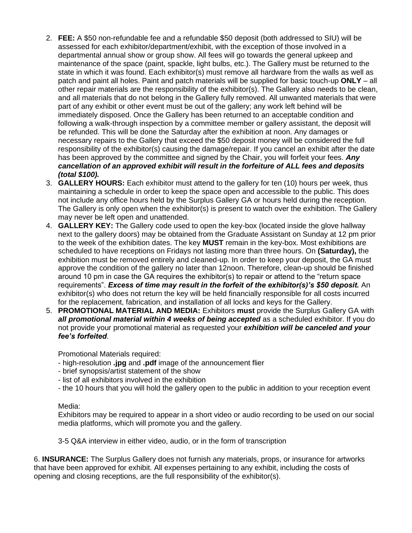- 2. **FEE:** A \$50 non-refundable fee and a refundable \$50 deposit (both addressed to SIU) will be assessed for each exhibitor/department/exhibit, with the exception of those involved in a departmental annual show or group show. All fees will go towards the general upkeep and maintenance of the space (paint, spackle, light bulbs, etc.). The Gallery must be returned to the state in which it was found. Each exhibitor(s) must remove all hardware from the walls as well as patch and paint all holes. Paint and patch materials will be supplied for basic touch-up **ONLY** – all other repair materials are the responsibility of the exhibitor(s). The Gallery also needs to be clean, and all materials that do not belong in the Gallery fully removed. All unwanted materials that were part of any exhibit or other event must be out of the gallery; any work left behind will be immediately disposed. Once the Gallery has been returned to an acceptable condition and following a walk-through inspection by a committee member or gallery assistant, the deposit will be refunded. This will be done the Saturday after the exhibition at noon. Any damages or necessary repairs to the Gallery that exceed the \$50 deposit money will be considered the full responsibility of the exhibitor(s) causing the damage/repair. If you cancel an exhibit after the date has been approved by the committee and signed by the Chair, you will forfeit your fees. *Any cancellation of an approved exhibit will result in the forfeiture of ALL fees and deposits (total \$100).*
- 3. **GALLERY HOURS:** Each exhibitor must attend to the gallery for ten (10) hours per week, thus maintaining a schedule in order to keep the space open and accessible to the public. This does not include any office hours held by the Surplus Gallery GA or hours held during the reception. The Gallery is only open when the exhibitor(s) is present to watch over the exhibition. The Gallery may never be left open and unattended.
- 4. **GALLERY KEY:** The Gallery code used to open the key-box (located inside the glove hallway next to the gallery doors) may be obtained from the Graduate Assistant on Sunday at 12 pm prior to the week of the exhibition dates. The key **MUST** remain in the key-box. Most exhibitions are scheduled to have receptions on Fridays not lasting more than three hours. On **(Saturday),** the exhibition must be removed entirely and cleaned-up. In order to keep your deposit, the GA must approve the condition of the gallery no later than 12noon. Therefore, clean-up should be finished around 10 pm in case the GA requires the exhibitor(s) to repair or attend to the "return space requirements". *Excess of time may result in the forfeit of the exhibitor(s)'s \$50 deposit.* An exhibitor(s) who does not return the key will be held financially responsible for all costs incurred for the replacement, fabrication, and installation of all locks and keys for the Gallery.
- 5. **PROMOTIONAL MATERIAL AND MEDIA:** Exhibitors **must** provide the Surplus Gallery GA with *all promotional material within 4 weeks of being accepted* as a scheduled exhibitor. If you do not provide your promotional material as requested your *exhibition will be canceled and your fee's forfeited*.

Promotional Materials required:

- high-resolution **.jpg** and **.pdf** image of the announcement flier
- brief synopsis/artist statement of the show
- list of all exhibitors involved in the exhibition
- the 10 hours that you will hold the gallery open to the public in addition to your reception event

### Media:

Exhibitors may be required to appear in a short video or audio recording to be used on our social media platforms, which will promote you and the gallery.

3-5 Q&A interview in either video, audio, or in the form of transcription

6. **INSURANCE:** The Surplus Gallery does not furnish any materials, props, or insurance for artworks that have been approved for exhibit. All expenses pertaining to any exhibit, including the costs of opening and closing receptions, are the full responsibility of the exhibitor(s).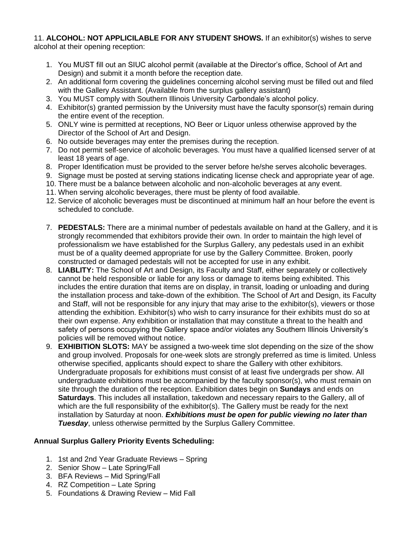#### 11. **ALCOHOL: NOT APPLICILABLE FOR ANY STUDENT SHOWS.** If an exhibitor(s) wishes to serve alcohol at their opening reception:

- 1. You MUST fill out an SIUC alcohol permit (available at the Director's office, School of Art and Design) and submit it a month before the reception date.
- 2. An additional form covering the guidelines concerning alcohol serving must be filled out and filed with the Gallery Assistant. (Available from the surplus gallery assistant)
- 3. You MUST comply with Southern Illinois University Carbondale's alcohol policy.
- 4. Exhibitor(s) granted permission by the University must have the faculty sponsor(s) remain during the entire event of the reception.
- 5. ONLY wine is permitted at receptions, NO Beer or Liquor unless otherwise approved by the Director of the School of Art and Design.
- 6. No outside beverages may enter the premises during the reception.
- 7. Do not permit self-service of alcoholic beverages. You must have a qualified licensed server of at least 18 years of age.
- 8. Proper Identification must be provided to the server before he/she serves alcoholic beverages.
- 9. Signage must be posted at serving stations indicating license check and appropriate year of age.
- 10. There must be a balance between alcoholic and non-alcoholic beverages at any event.
- 11. When serving alcoholic beverages, there must be plenty of food available.
- 12. Service of alcoholic beverages must be discontinued at minimum half an hour before the event is scheduled to conclude.
- 7. **PEDESTALS:** There are a minimal number of pedestals available on hand at the Gallery, and it is strongly recommended that exhibitors provide their own. In order to maintain the high level of professionalism we have established for the Surplus Gallery, any pedestals used in an exhibit must be of a quality deemed appropriate for use by the Gallery Committee. Broken, poorly constructed or damaged pedestals will not be accepted for use in any exhibit.
- 8. **LIABLITY:** The School of Art and Design, its Faculty and Staff, either separately or collectively cannot be held responsible or liable for any loss or damage to items being exhibited. This includes the entire duration that items are on display, in transit, loading or unloading and during the installation process and take-down of the exhibition. The School of Art and Design, its Faculty and Staff, will not be responsible for any injury that may arise to the exhibitor(s), viewers or those attending the exhibition. Exhibitor(s) who wish to carry insurance for their exhibits must do so at their own expense. Any exhibition or installation that may constitute a threat to the health and safety of persons occupying the Gallery space and/or violates any Southern Illinois University's policies will be removed without notice.
- 9. **EXHIBITION SLOTS:** MAY be assigned a two-week time slot depending on the size of the show and group involved. Proposals for one-week slots are strongly preferred as time is limited. Unless otherwise specified, applicants should expect to share the Gallery with other exhibitors. Undergraduate proposals for exhibitions must consist of at least five undergrads per show. All undergraduate exhibitions must be accompanied by the faculty sponsor(s), who must remain on site through the duration of the reception. Exhibition dates begin on **Sundays** and ends on **Saturdays**. This includes all installation, takedown and necessary repairs to the Gallery, all of which are the full responsibility of the exhibitor(s). The Gallery must be ready for the next installation by Saturday at noon. *Exhibitions must be open for public viewing no later than Tuesday*, unless otherwise permitted by the Surplus Gallery Committee.

## **Annual Surplus Gallery Priority Events Scheduling:**

- 1. 1st and 2nd Year Graduate Reviews Spring
- 2. Senior Show Late Spring/Fall
- 3. BFA Reviews Mid Spring/Fall
- 4. RZ Competition Late Spring
- 5. Foundations & Drawing Review Mid Fall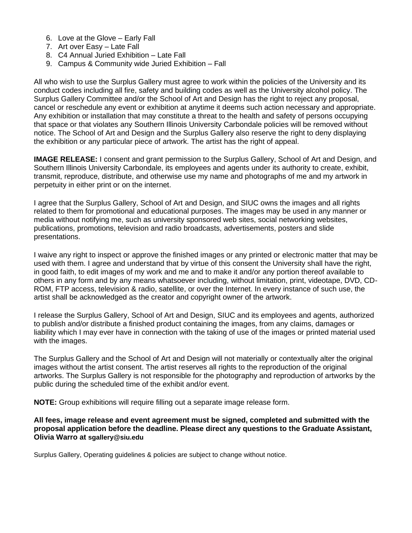- 6. Love at the Glove Early Fall
- 7. Art over Easy Late Fall
- 8. C4 Annual Juried Exhibition Late Fall
- 9. Campus & Community wide Juried Exhibition Fall

All who wish to use the Surplus Gallery must agree to work within the policies of the University and its conduct codes including all fire, safety and building codes as well as the University alcohol policy. The Surplus Gallery Committee and/or the School of Art and Design has the right to reject any proposal, cancel or reschedule any event or exhibition at anytime it deems such action necessary and appropriate. Any exhibition or installation that may constitute a threat to the health and safety of persons occupying that space or that violates any Southern Illinois University Carbondale policies will be removed without notice. The School of Art and Design and the Surplus Gallery also reserve the right to deny displaying the exhibition or any particular piece of artwork. The artist has the right of appeal.

**IMAGE RELEASE:** I consent and grant permission to the Surplus Gallery, School of Art and Design, and Southern Illinois University Carbondale, its employees and agents under its authority to create, exhibit, transmit, reproduce, distribute, and otherwise use my name and photographs of me and my artwork in perpetuity in either print or on the internet.

I agree that the Surplus Gallery, School of Art and Design, and SIUC owns the images and all rights related to them for promotional and educational purposes. The images may be used in any manner or media without notifying me, such as university sponsored web sites, social networking websites, publications, promotions, television and radio broadcasts, advertisements, posters and slide presentations.

I waive any right to inspect or approve the finished images or any printed or electronic matter that may be used with them. I agree and understand that by virtue of this consent the University shall have the right, in good faith, to edit images of my work and me and to make it and/or any portion thereof available to others in any form and by any means whatsoever including, without limitation, print, videotape, DVD, CD-ROM, FTP access, television & radio, satellite, or over the Internet. In every instance of such use, the artist shall be acknowledged as the creator and copyright owner of the artwork.

I release the Surplus Gallery, School of Art and Design, SIUC and its employees and agents, authorized to publish and/or distribute a finished product containing the images, from any claims, damages or liability which I may ever have in connection with the taking of use of the images or printed material used with the images.

The Surplus Gallery and the School of Art and Design will not materially or contextually alter the original images without the artist consent. The artist reserves all rights to the reproduction of the original artworks. The Surplus Gallery is not responsible for the photography and reproduction of artworks by the public during the scheduled time of the exhibit and/or event.

**NOTE:** Group exhibitions will require filling out a separate image release form.

#### **All fees, image release and event agreement must be signed, completed and submitted with the proposal application before the deadline. Please direct any questions to the Graduate Assistant, Olivia Warro at sgallery@siu.edu**

Surplus Gallery, Operating guidelines & policies are subject to change without notice.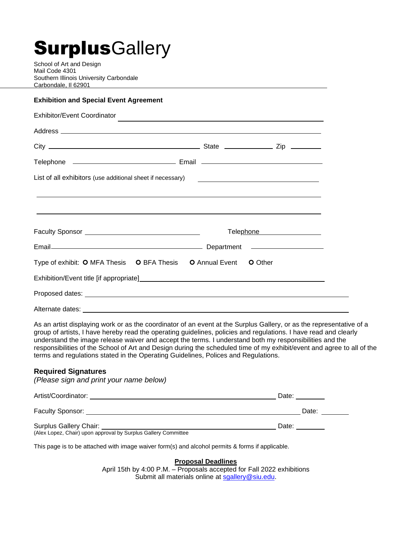# **SurplusGallery**

School of Art and Design Mail Code 4301 Southern Illinois University Carbondale Carbondale, Il 62901

#### **Exhibition and Special Event Agreement**

| Exhibitor/Event Coordinator                                                       | the control of the control of the control of the control of the control of the control of the control of the control of the control of the control of the control of the control of the control of the control of the control |
|-----------------------------------------------------------------------------------|-------------------------------------------------------------------------------------------------------------------------------------------------------------------------------------------------------------------------------|
|                                                                                   |                                                                                                                                                                                                                               |
|                                                                                   |                                                                                                                                                                                                                               |
|                                                                                   |                                                                                                                                                                                                                               |
| List of all exhibitors (use additional sheet if necessary)                        | <u> Alexandria de la contrada de la contrada de la contrada de la contrada de la contrada de la contrada de la c</u>                                                                                                          |
|                                                                                   |                                                                                                                                                                                                                               |
| ,我们也不能会在这里,我们也不能会在这里,我们也不能会在这里,我们也不能会在这里,我们也不能会在这里,我们也不能会在这里,我们也不能会不能会不能会。""我们,我们 |                                                                                                                                                                                                                               |
|                                                                                   | Telephone ___________________                                                                                                                                                                                                 |
|                                                                                   | Department ___________________                                                                                                                                                                                                |
| Type of exhibit: O MFA Thesis O BFA Thesis O Annual Event O Other                 |                                                                                                                                                                                                                               |
|                                                                                   |                                                                                                                                                                                                                               |
|                                                                                   |                                                                                                                                                                                                                               |
| Alternate dates:                                                                  |                                                                                                                                                                                                                               |

As an artist displaying work or as the coordinator of an event at the Surplus Gallery, or as the representative of a group of artists, I have hereby read the operating guidelines, policies and regulations. I have read and clearly understand the image release waiver and accept the terms. I understand both my responsibilities and the responsibilities of the School of Art and Design during the scheduled time of my exhibit/event and agree to all of the terms and regulations stated in the Operating Guidelines, Polices and Regulations.

#### **Required Signatures**

*(Please sign and print your name below)*

| Artist/Coordinator:    | Date: |
|------------------------|-------|
| Faculty Sponsor:       | Date: |
| Surplus Gallery Chair: | Date: |

(Alex Lopez, Chair) upon approval by Surplus Gallery Committee

This page is to be attached with image waiver form(s) and alcohol permits & forms if applicable.

**Proposal Deadlines**

April 15th by 4:00 P.M. – Proposals accepted for Fall 2022 exhibitions Submit all materials online at [sgallery@siu.edu.](mailto:sgallery@siu.edu)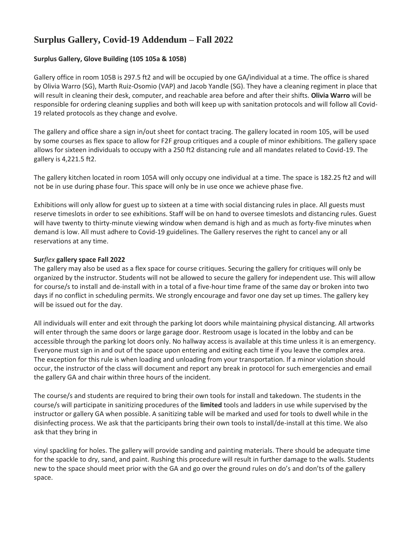# **Surplus Gallery, Covid-19 Addendum – Fall 2022**

#### **Surplus Gallery, Glove Building (105 105a & 105B)**

Gallery office in room 105B is 297.5 ft2 and will be occupied by one GA/individual at a time. The office is shared by Olivia Warro (SG), Marth Ruiz-Osomio (VAP) and Jacob Yandle (SG). They have a cleaning regiment in place that will result in cleaning their desk, computer, and reachable area before and after their shifts. **Olivia Warro** will be responsible for ordering cleaning supplies and both will keep up with sanitation protocols and will follow all Covid-19 related protocols as they change and evolve.

The gallery and office share a sign in/out sheet for contact tracing. The gallery located in room 105, will be used by some courses as flex space to allow for F2F group critiques and a couple of minor exhibitions. The gallery space allows for sixteen individuals to occupy with a 250 ft2 distancing rule and all mandates related to Covid-19. The gallery is 4,221.5 ft2.

The gallery kitchen located in room 105A will only occupy one individual at a time. The space is 182.25 ft2 and will not be in use during phase four. This space will only be in use once we achieve phase five.

Exhibitions will only allow for guest up to sixteen at a time with social distancing rules in place. All guests must reserve timeslots in order to see exhibitions. Staff will be on hand to oversee timeslots and distancing rules. Guest will have twenty to thirty-minute viewing window when demand is high and as much as forty-five minutes when demand is low. All must adhere to Covid-19 guidelines. The Gallery reserves the right to cancel any or all reservations at any time.

#### **Sur***flex* **gallery space Fall 2022**

The gallery may also be used as a flex space for course critiques. Securing the gallery for critiques will only be organized by the instructor. Students will not be allowed to secure the gallery for independent use. This will allow for course/s to install and de-install with in a total of a five-hour time frame of the same day or broken into two days if no conflict in scheduling permits. We strongly encourage and favor one day set up times. The gallery key will be issued out for the day.

All individuals will enter and exit through the parking lot doors while maintaining physical distancing. All artworks will enter through the same doors or large garage door. Restroom usage is located in the lobby and can be accessible through the parking lot doors only. No hallway access is available at this time unless it is an emergency. Everyone must sign in and out of the space upon entering and exiting each time if you leave the complex area. The exception for this rule is when loading and unloading from your transportation. If a minor violation should occur, the instructor of the class will document and report any break in protocol for such emergencies and email the gallery GA and chair within three hours of the incident.

The course/s and students are required to bring their own tools for install and takedown. The students in the course/s will participate in sanitizing procedures of the **limited** tools and ladders in use while supervised by the instructor or gallery GA when possible. A sanitizing table will be marked and used for tools to dwell while in the disinfecting process. We ask that the participants bring their own tools to install/de-install at this time. We also ask that they bring in

vinyl spackling for holes. The gallery will provide sanding and painting materials. There should be adequate time for the spackle to dry, sand, and paint. Rushing this procedure will result in further damage to the walls. Students new to the space should meet prior with the GA and go over the ground rules on do's and don'ts of the gallery space.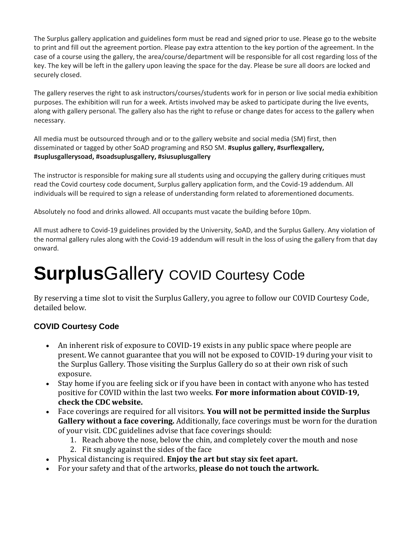The Surplus gallery application and guidelines form must be read and signed prior to use. Please go to the website to print and fill out the agreement portion. Please pay extra attention to the key portion of the agreement. In the case of a course using the gallery, the area/course/department will be responsible for all cost regarding loss of the key. The key will be left in the gallery upon leaving the space for the day. Please be sure all doors are locked and securely closed.

The gallery reserves the right to ask instructors/courses/students work for in person or live social media exhibition purposes. The exhibition will run for a week. Artists involved may be asked to participate during the live events, along with gallery personal. The gallery also has the right to refuse or change dates for access to the gallery when necessary.

All media must be outsourced through and or to the gallery website and social media (SM) first, then disseminated or tagged by other SoAD programing and RSO SM. **#suplus gallery, #surflexgallery, #suplusgallerysoad, #soadsuplusgallery, #siusuplusgallery** 

The instructor is responsible for making sure all students using and occupying the gallery during critiques must read the Covid courtesy code document, Surplus gallery application form, and the Covid-19 addendum. All individuals will be required to sign a release of understanding form related to aforementioned documents.

Absolutely no food and drinks allowed. All occupants must vacate the building before 10pm.

All must adhere to Covid-19 guidelines provided by the University, SoAD, and the Surplus Gallery. Any violation of the normal gallery rules along with the Covid-19 addendum will result in the loss of using the gallery from that day onward.

# **Surplus**Gallery COVID Courtesy Code

By reserving a time slot to visit the Surplus Gallery, you agree to follow our COVID Courtesy Code, detailed below.

# **COVID Courtesy Code**

- An inherent risk of exposure to COVID-19 exists in any public space where people are present. We cannot guarantee that you will not be exposed to COVID-19 during your visit to the Surplus Gallery. Those visiting the Surplus Gallery do so at their own risk of such exposure.
- Stay home if you are feeling sick or if you have been in contact with anyone who has tested positive for COVID within the last two weeks. **For more information about COVID-19, check the CDC website.**
- Face coverings are required for all visitors. **You will not be permitted inside the Surplus Gallery without a face covering.** Additionally, face coverings must be worn for the duration of your visit. CDC guidelines advise that face coverings should:
	- 1. Reach above the nose, below the chin, and completely cover the mouth and nose
	- 2. Fit snugly against the sides of the face
- Physical distancing is required. **Enjoy the art but stay six feet apart.**
- For your safety and that of the artworks, **please do not touch the artwork.**